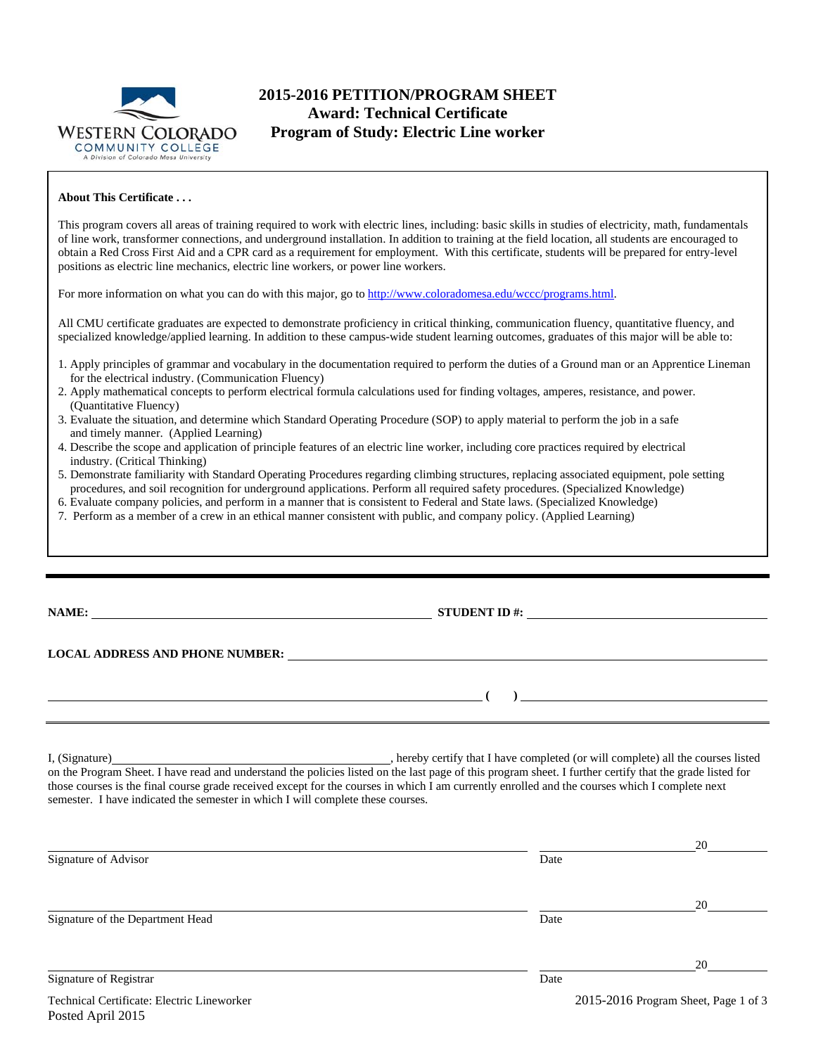

# **2015-2016 PETITION/PROGRAM SHEET Award: Technical Certificate Program of Study: Electric Line worker**

#### **About This Certificate . . .**

This program covers all areas of training required to work with electric lines, including: basic skills in studies of electricity, math, fundamentals of line work, transformer connections, and underground installation. In addition to training at the field location, all students are encouraged to obtain a Red Cross First Aid and a CPR card as a requirement for employment. With this certificate, students will be prepared for entry-level positions as electric line mechanics, electric line workers, or power line workers.

For more information on what you can do with this major, go to http://www.coloradomesa.edu/wccc/programs.html.

All CMU certificate graduates are expected to demonstrate proficiency in critical thinking, communication fluency, quantitative fluency, and specialized knowledge/applied learning. In addition to these campus-wide student learning outcomes, graduates of this major will be able to:

- 1. Apply principles of grammar and vocabulary in the documentation required to perform the duties of a Ground man or an Apprentice Lineman for the electrical industry. (Communication Fluency)
- 2. Apply mathematical concepts to perform electrical formula calculations used for finding voltages, amperes, resistance, and power. (Quantitative Fluency)
- 3. Evaluate the situation, and determine which Standard Operating Procedure (SOP) to apply material to perform the job in a safe and timely manner. (Applied Learning)
- 4. Describe the scope and application of principle features of an electric line worker, including core practices required by electrical industry. (Critical Thinking)
- 5. Demonstrate familiarity with Standard Operating Procedures regarding climbing structures, replacing associated equipment, pole setting procedures, and soil recognition for underground applications. Perform all required safety procedures. (Specialized Knowledge)
- 6. Evaluate company policies, and perform in a manner that is consistent to Federal and State laws. (Specialized Knowledge)
- 7. Perform as a member of a crew in an ethical manner consistent with public, and company policy. (Applied Learning)

**NAME: STUDENT ID #: STUDENT ID #: STUDENT ID #: STUDENT ID #: STUDENT ID #: STUDENT ID #: STUDENT ID #: STUDENT ID #: STUDENT ID #: STUDENT ID #: STUDENT ID #: STUDENT ID #: STUDENT ID #: STUDE** 

 **( )** 

**LOCAL ADDRESS AND PHONE NUMBER:**

Posted April 2015

I, (Signature) , hereby certify that I have completed (or will complete) all the courses listed on the Program Sheet. I have read and understand the policies listed on the last page of this program sheet. I further certify that the grade listed for those courses is the final course grade received except for the courses in which I am currently enrolled and the courses which I complete next semester. I have indicated the semester in which I will complete these courses.

|                                            |      | 20                                   |  |  |
|--------------------------------------------|------|--------------------------------------|--|--|
| Signature of Advisor                       | Date |                                      |  |  |
|                                            |      | 20                                   |  |  |
| Signature of the Department Head           | Date |                                      |  |  |
|                                            |      | 20                                   |  |  |
| <b>Signature of Registrar</b>              | Date |                                      |  |  |
| Technical Certificate: Electric Lineworker |      | 2015-2016 Program Sheet, Page 1 of 3 |  |  |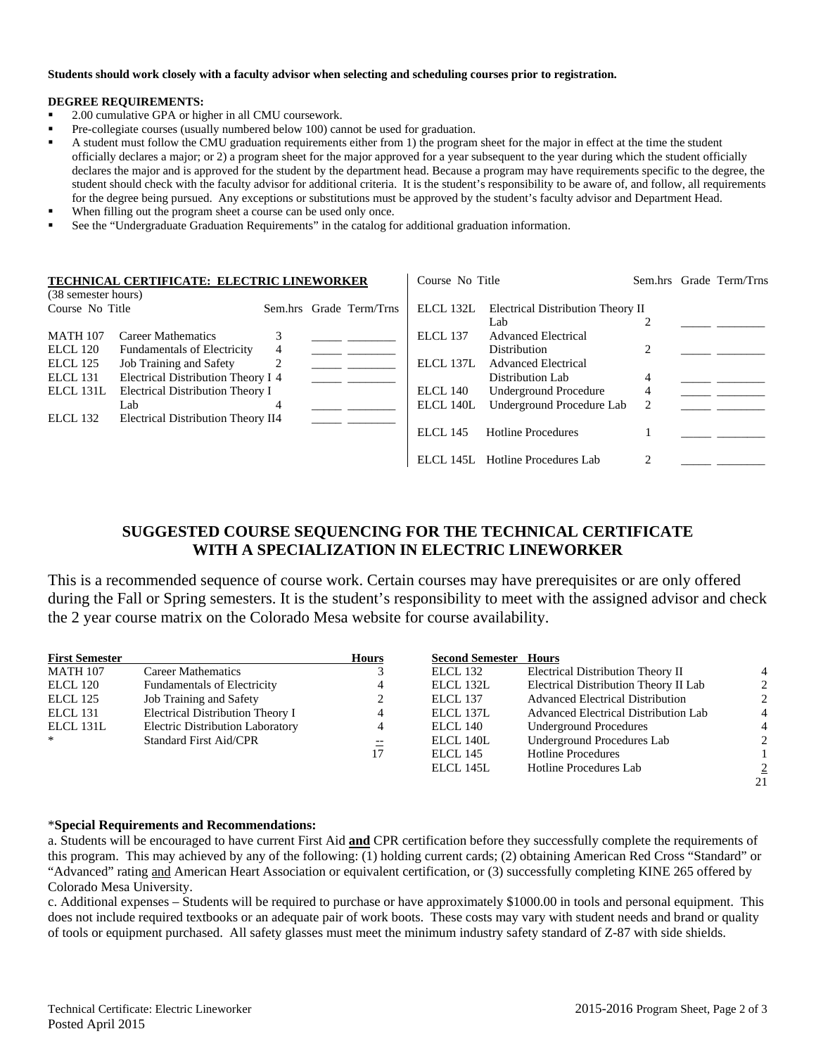#### **Students should work closely with a faculty advisor when selecting and scheduling courses prior to registration.**

#### **DEGREE REQUIREMENTS:**

- 2.00 cumulative GPA or higher in all CMU coursework.
- Pre-collegiate courses (usually numbered below 100) cannot be used for graduation.
- A student must follow the CMU graduation requirements either from 1) the program sheet for the major in effect at the time the student officially declares a major; or 2) a program sheet for the major approved for a year subsequent to the year during which the student officially declares the major and is approved for the student by the department head. Because a program may have requirements specific to the degree, the student should check with the faculty advisor for additional criteria. It is the student's responsibility to be aware of, and follow, all requirements for the degree being pursued. Any exceptions or substitutions must be approved by the student's faculty advisor and Department Head.
- When filling out the program sheet a course can be used only once.
- See the "Undergraduate Graduation Requirements" in the catalog for additional graduation information.

| TECHNICAL CERTIFICATE: ELECTRIC LINEWORKER<br>(38 semester hours) |                                    |   | Course No Title         |                 |                                   | Sem.hrs Grade Term/Trns |  |
|-------------------------------------------------------------------|------------------------------------|---|-------------------------|-----------------|-----------------------------------|-------------------------|--|
|                                                                   |                                    |   |                         |                 |                                   |                         |  |
| Course No Title                                                   |                                    |   | Sem.hrs Grade Term/Trns | ELCL 132L       | Electrical Distribution Theory II |                         |  |
|                                                                   |                                    |   |                         |                 | Lab                               |                         |  |
| <b>MATH 107</b>                                                   | <b>Career Mathematics</b>          |   |                         | ELCL 137        | <b>Advanced Electrical</b>        |                         |  |
| <b>ELCL 120</b>                                                   | <b>Fundamentals of Electricity</b> | 4 |                         |                 | <b>Distribution</b>               |                         |  |
| ELCL 125                                                          | Job Training and Safety            |   |                         | ELCL 137L       | <b>Advanced Electrical</b>        |                         |  |
| <b>ELCL 131</b>                                                   | Electrical Distribution Theory I 4 |   |                         |                 | Distribution Lab                  | 4                       |  |
| ELCL 131L                                                         | Electrical Distribution Theory I   |   |                         | ELCL 140        | <b>Underground Procedure</b>      | 4                       |  |
|                                                                   | Lab                                | 4 |                         | ELCL 140L       | Underground Procedure Lab         | 2                       |  |
| <b>ELCL 132</b>                                                   | Electrical Distribution Theory II4 |   |                         |                 |                                   |                         |  |
|                                                                   |                                    |   |                         | <b>ELCL 145</b> | <b>Hotline Procedures</b>         |                         |  |
|                                                                   |                                    |   |                         |                 | ELCL 145L Hotline Procedures Lab  |                         |  |

## **SUGGESTED COURSE SEQUENCING FOR THE TECHNICAL CERTIFICATE WITH A SPECIALIZATION IN ELECTRIC LINEWORKER**

This is a recommended sequence of course work. Certain courses may have prerequisites or are only offered during the Fall or Spring semesters. It is the student's responsibility to meet with the assigned advisor and check the 2 year course matrix on the Colorado Mesa website for course availability.

| <b>First Semester</b> |                                         | <b>Hours</b> | <b>Second Semester Hours</b> |                                         |    |
|-----------------------|-----------------------------------------|--------------|------------------------------|-----------------------------------------|----|
| <b>MATH 107</b>       | Career Mathematics                      |              | ELCL 132                     | Electrical Distribution Theory II       |    |
| ELCL 120              | <b>Fundamentals of Electricity</b>      | 4            | ELCL 132L                    | Electrical Distribution Theory II Lab   | 2  |
| ELCL 125              | Job Training and Safety                 |              | ELCL 137                     | <b>Advanced Electrical Distribution</b> | 2  |
| ELCL 131              | Electrical Distribution Theory I        | 4            | ELCL 137L                    | Advanced Electrical Distribution Lab    | 4  |
| ELCL 131L             | <b>Electric Distribution Laboratory</b> | 4            | ELCL 140                     | <b>Underground Procedures</b>           |    |
| $\ast$                | <b>Standard First Aid/CPR</b>           | $-\!$ $\!-$  | ELCL 140L                    | Underground Procedures Lab              | 2  |
|                       |                                         | 17           | ELCL 145                     | <b>Hotline Procedures</b>               |    |
|                       |                                         |              | ELCL 145L                    | Hotline Procedures Lab                  | 2  |
|                       |                                         |              |                              |                                         | 21 |

#### \***Special Requirements and Recommendations:**

a. Students will be encouraged to have current First Aid **and** CPR certification before they successfully complete the requirements of this program. This may achieved by any of the following: (1) holding current cards; (2) obtaining American Red Cross "Standard" or "Advanced" rating and American Heart Association or equivalent certification, or (3) successfully completing KINE 265 offered by Colorado Mesa University.

c. Additional expenses – Students will be required to purchase or have approximately \$1000.00 in tools and personal equipment. This does not include required textbooks or an adequate pair of work boots. These costs may vary with student needs and brand or quality of tools or equipment purchased. All safety glasses must meet the minimum industry safety standard of Z-87 with side shields.